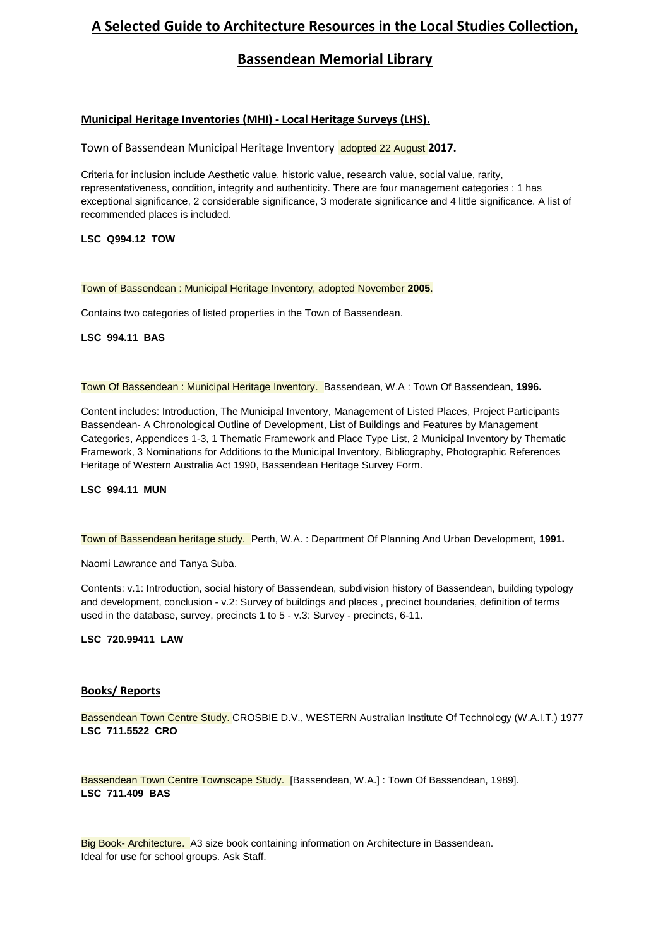# **A Selected Guide to Architecture Resources in the Local Studies Collection,**

## **Bassendean Memorial Library**

## **Municipal Heritage Inventories (MHI) - Local Heritage Surveys (LHS).**

Town of Bassendean Municipal Heritage Inventory adopted 22 August **2017.**

Criteria for inclusion include Aesthetic value, historic value, research value, social value, rarity, representativeness, condition, integrity and authenticity. There are four management categories : 1 has exceptional significance, 2 considerable significance, 3 moderate significance and 4 little significance. A list of recommended places is included.

## **LSC Q994.12 TOW**

## Town of Bassendean : Municipal Heritage Inventory, adopted November **2005**.

Contains two categories of listed properties in the Town of Bassendean.

## **LSC 994.11 BAS**

Town Of Bassendean : Municipal Heritage Inventory. Bassendean, W.A : Town Of Bassendean, **1996.**

Content includes: Introduction, The Municipal Inventory, Management of Listed Places, Project Participants Bassendean- A Chronological Outline of Development, List of Buildings and Features by Management Categories, Appendices 1-3, 1 Thematic Framework and Place Type List, 2 Municipal Inventory by Thematic Framework, 3 Nominations for Additions to the Municipal Inventory, Bibliography, Photographic References Heritage of Western Australia Act 1990, Bassendean Heritage Survey Form.

#### **LSC 994.11 MUN**

Town of Bassendean heritage study. Perth, W.A. : Department Of Planning And Urban Development, **1991.**

Naomi Lawrance and Tanya Suba.

Contents: v.1: Introduction, social history of Bassendean, subdivision history of Bassendean, building typology and development, conclusion - v.2: Survey of buildings and places , precinct boundaries, definition of terms used in the database, survey, precincts 1 to 5 - v.3: Survey - precincts, 6-11.

#### **LSC 720.99411 LAW**

## **Books/ Reports**

Bassendean Town Centre Study. CROSBIE D.V., WESTERN Australian Institute Of Technology (W.A.I.T.) 1977 **LSC 711.5522 CRO**

Bassendean Town Centre Townscape Study. [Bassendean, W.A.] : Town Of Bassendean, 1989]. **LSC 711.409 BAS**

Big Book- Architecture. A3 size book containing information on Architecture in Bassendean. Ideal for use for school groups. Ask Staff.